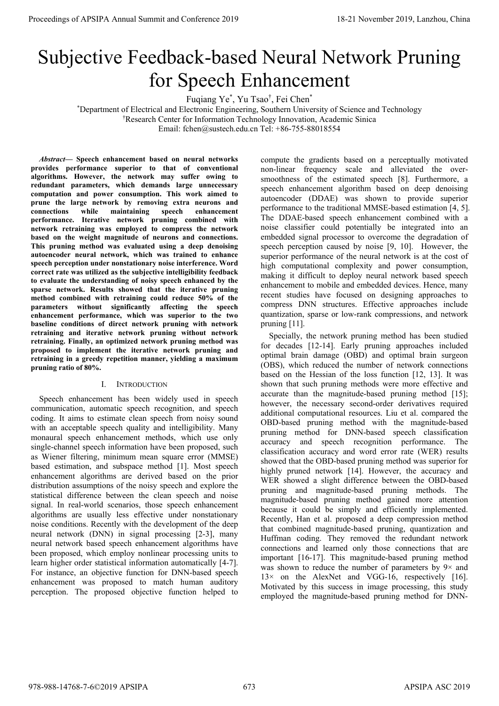# Subjective Feedback-based Neural Network Pruning for Speech Enhancement

Fuqiang Ye\* , Yu Tsao† , Fei Chen\*

\* Department of Electrical and Electronic Engineering, Southern University of Science and Technology

† Research Center for Information Technology Innovation, Academic Sinica

Email: fchen@sustech.edu.cn Tel: +86-755-88018554

*Abstract—* **Speech enhancement based on neural networks provides performance superior to that of conventional algorithms. However, the network may suffer owing to redundant parameters, which demands large unnecessary computation and power consumption. This work aimed to prune the large network by removing extra neurons and connections while maintaining speech enhancement performance. Iterative network pruning combined with network retraining was employed to compress the network based on the weight magnitude of neurons and connections. This pruning method was evaluated using a deep denoising autoencoder neural network, which was trained to enhance speech perception under nonstationary noise interference. Word correct rate was utilized as the subjective intelligibility feedback to evaluate the understanding of noisy speech enhanced by the sparse network. Results showed that the iterative pruning method combined with retraining could reduce 50% of the parameters without significantly affecting the speech enhancement performance, which was superior to the two baseline conditions of direct network pruning with network retraining and iterative network pruning without network retraining. Finally, an optimized network pruning method was proposed to implement the iterative network pruning and retraining in a greedy repetition manner, yielding a maximum pruning ratio of 80%.**

# I. INTRODUCTION

Speech enhancement has been widely used in speech communication, automatic speech recognition, and speech coding. It aims to estimate clean speech from noisy sound with an acceptable speech quality and intelligibility. Many monaural speech enhancement methods, which use only single-channel speech information have been proposed, such as Wiener filtering, minimum mean square error (MMSE) based estimation, and subspace method [1]. Most speech enhancement algorithms are derived based on the prior distribution assumptions of the noisy speech and explore the statistical difference between the clean speech and noise signal. In real-world scenarios, those speech enhancement algorithms are usually less effective under nonstationary noise conditions. Recently with the development of the deep neural network (DNN) in signal processing [2-3], many neural network based speech enhancement algorithms have been proposed, which employ nonlinear processing units to learn higher order statistical information automatically [4-7]. For instance, an objective function for DNN-based speech enhancement was proposed to match human auditory perception. The proposed objective function helped to compute the gradients based on a perceptually motivated non-linear frequency scale and alleviated the oversmoothness of the estimated speech [8]. Furthermore, a speech enhancement algorithm based on deep denoising autoencoder (DDAE) was shown to provide superior performance to the traditional MMSE-based estimation [4, 5]. The DDAE-based speech enhancement combined with a noise classifier could potentially be integrated into an embedded signal processor to overcome the degradation of speech perception caused by noise [9, 10]. However, the superior performance of the neural network is at the cost of high computational complexity and power consumption, making it difficult to deploy neural network based speech enhancement to mobile and embedded devices. Hence, many recent studies have focused on designing approaches to compress DNN structures. Effective approaches include quantization, sparse or low-rank compressions, and network pruning [11].

Specially, the network pruning method has been studied for decades [12-14]. Early pruning approaches included optimal brain damage (OBD) and optimal brain surgeon (OBS), which reduced the number of network connections based on the Hessian of the loss function [12, 13]. It was shown that such pruning methods were more effective and accurate than the magnitude-based pruning method [15]; however, the necessary second-order derivatives required additional computational resources. Liu et al. compared the OBD-based pruning method with the magnitude-based pruning method for DNN-based speech classification accuracy and speech recognition performance. The classification accuracy and word error rate (WER) results showed that the OBD-based pruning method was superior for highly pruned network [14]. However, the accuracy and WER showed a slight difference between the OBD-based pruning and magnitude-based pruning methods. The magnitude-based pruning method gained more attention because it could be simply and efficiently implemented. Recently, Han et al. proposed a deep compression method that combined magnitude-based pruning, quantization and Huffman coding. They removed the redundant network connections and learned only those connections that are important [16-17]. This magnitude-based pruning method was shown to reduce the number of parameters by  $9 \times$  and  $13\times$  on the AlexNet and VGG-16, respectively [16]. Motivated by this success in image processing, this study employed the magnitude-based pruning method for DNN-Proceeding of APSIPA Annual Summit of Co-Case 2019<br>
Summit and Conference 2019<br>
Summit and Conference 2019<br>
The Conference 2019<br>
The Conference 2019 and Conference 2019<br>
The Conference 2019 and Conference 2019<br>
The Confer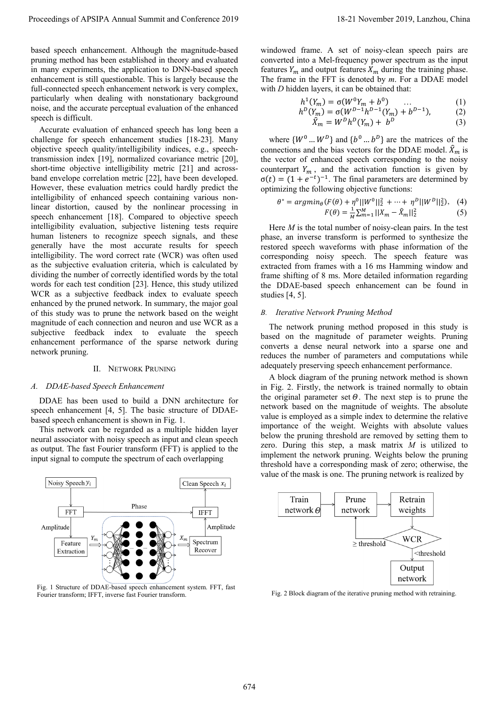based speech enhancement. Although the magnitude-based pruning method has been established in theory and evaluated in many experiments, the application to DNN-based speech enhancement is still questionable. This is largely because the full-connected speech enhancement network is very complex, particularly when dealing with nonstationary background noise, and the accurate perceptual evaluation of the enhanced speech is difficult.

Accurate evaluation of enhanced speech has long been a challenge for speech enhancement studies [18-23]. Many objective speech quality/intelligibility indices, e.g., speechtransmission index [19], normalized covariance metric [20], short-time objective intelligibility metric [21] and acrossband envelope correlation metric [22], have been developed. However, these evaluation metrics could hardly predict the intelligibility of enhanced speech containing various nonlinear distortion, caused by the nonlinear processing in speech enhancement [18]. Compared to objective speech intelligibility evaluation, subjective listening tests require human listeners to recognize speech signals, and these generally have the most accurate results for speech intelligibility. The word correct rate (WCR) was often used as the subjective evaluation criteria, which is calculated by dividing the number of correctly identified words by the total words for each test condition [23]. Hence, this study utilized WCR as a subjective feedback index to evaluate speech enhanced by the pruned network. In summary, the major goal of this study was to prune the network based on the weight magnitude of each connection and neuron and use WCR as a subjective feedback index to evaluate the speech enhancement performance of the sparse network during network pruning. Proceeding of APSIPA Annual Summit at Co-Co-co-2019<br>
board system and more comparison in the system and a second of a state of a state of a state of a state of a state of a state of a state of a state of a state of a stat

#### II. NETWORK PRUNING

#### *A. DDAE-based Speech Enhancement*

DDAE has been used to build a DNN architecture for speech enhancement [4, 5]. The basic structure of DDAEbased speech enhancement is shown in Fig. 1.

This network can be regarded as a multiple hidden layer neural associator with noisy speech as input and clean speech as output. The fast Fourier transform (FFT) is applied to the input signal to compute the spectrum of each overlapping



Fig. 1 Structure of DDAE-based speech enhancement system. FFT, fast<br>Fig. 2 Block diagram of the iterative pruning method with retraining. Fourier transform; IFFT, inverse fast Fourier transform.

windowed frame. A set of noisy-clean speech pairs are converted into a Mel-frequency power spectrum as the input features  $Y_m$  and output features  $X_m$  during the training phase. The frame in the FFT is denoted by *m*. For a DDAE model with *D* hidden layers, it can be obtained that:

$$
h^{1}(Y_{m}) = \sigma(W^{0}Y_{m} + b^{0}) \qquad ... \qquad (1)
$$

$$
h^{D}(Y_{m}) = \sigma(W^{D-1}h^{D-1}(Y_{m}) + b^{D-1}), \qquad (2)
$$

$$
\hat{X}_m = W^D h^D(Y_m) + b^D \tag{3}
$$

where  $\{W^0 ... W^D\}$  and  $\{b^0 ... b^D\}$  are the matrices of the connections and the bias vectors for the DDAE model.  $\hat{X}_m$  is the vector of enhanced speech corresponding to the noisy counterpart  $Y_m$ , and the activation function is given by  $\sigma(t) = (1 + e^{-t})^{-1}$ . The final parameters are determined by optimizing the following objective functions:

$$
\theta^* = argmin_{\theta} (F(\theta) + \eta^0 ||W^0||_2^2 + \dots + \eta^D ||W^D||_2^2), \quad (4)
$$
  

$$
F(\theta) = \frac{1}{M} \sum_{m=1}^{M} ||X_m - \hat{X}_m||_2^2 \quad (5)
$$

Here *M* is the total number of noisy-clean pairs. In the test phase, an inverse transform is performed to synthesize the restored speech waveforms with phase information of the corresponding noisy speech. The speech feature was extracted from frames with a 16 ms Hamming window and frame shifting of 8 ms. More detailed information regarding the DDAE-based speech enhancement can be found in studies [4, 5].

### *B. Iterative Network Pruning Method*

The network pruning method proposed in this study is based on the magnitude of parameter weights. Pruning converts a dense neural network into a sparse one and reduces the number of parameters and computations while adequately preserving speech enhancement performance.

A block diagram of the pruning network method is shown in Fig. 2. Firstly, the network is trained normally to obtain the original parameter set  $\Theta$ . The next step is to prune the network based on the magnitude of weights. The absolute value is employed as a simple index to determine the relative importance of the weight. Weights with absolute values below the pruning threshold are removed by setting them to zero. During this step, a mask matrix *M* is utilized to implement the network pruning. Weights below the pruning threshold have a corresponding mask of zero; otherwise, the value of the mask is one. The pruning network is realized by

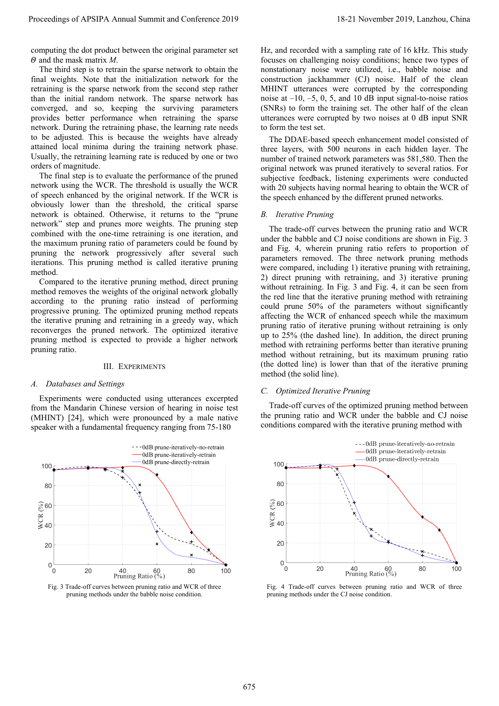computing the dot product between the original parameter set  $\Theta$  and the mask matrix *M*.

The third step is to retrain the sparse network to obtain the final weights. Note that the initialization network for the retraining is the sparse network from the second step rather than the initial random network. The sparse network has converged, and so, keeping the surviving parameters provides better performance when retraining the sparse network. During the retraining phase, the learning rate needs to be adjusted. This is because the weights have already attained local minima during the training network phase. Usually, the retraining learning rate is reduced by one or two orders of magnitude.

The final step is to evaluate the performance of the pruned network using the WCR. The threshold is usually the WCR of speech enhanced by the original network. If the WCR is obviously lower than the threshold, the critical sparse network is obtained. Otherwise, it returns to the "prune network" step and prunes more weights. The pruning step combined with the one-time retraining is one iteration, and the maximum pruning ratio of parameters could be found by pruning the network progressively after several such iterations. This pruning method is called iterative pruning method.

Compared to the iterative pruning method, direct pruning method removes the weights of the original network globally according to the pruning ratio instead of performing progressive pruning. The optimized pruning method repeats the iterative pruning and retraining in a greedy way, which reconverges the pruned network. The optimized iterative pruning method is expected to provide a higher network pruning ratio.

## III. EXPERIMENTS

#### *A. Databases and Settings*

Experiments were conducted using utterances excerpted from the Mandarin Chinese version of hearing in noise test (MHINT) [24], which were pronounced by a male native speaker with a fundamental frequency ranging from 75-180





Hz, and recorded with a sampling rate of 16 kHz. This study focuses on challenging noisy conditions; hence two types of nonstationary noise were utilized, i.e., babble noise and construction jackhammer (CJ) noise. Half of the clean MHINT utterances were corrupted by the corresponding noise at  $-10$ ,  $-5$ , 0, 5, and 10 dB input signal-to-noise ratios (SNRs) to form the training set. The other half of the clean utterances were corrupted by two noises at 0 dB input SNR to form the test set.

The DDAE-based speech enhancement model consisted of three layers, with 500 neurons in each hidden layer. The number of trained network parameters was 581,580. Then the original network was pruned iteratively to several ratios. For subjective feedback, listening experiments were conducted with 20 subjects having normal hearing to obtain the WCR of the speech enhanced by the different pruned networks.

# *B. Iterative Pruning*

The trade-off curves between the pruning ratio and WCR under the babble and CJ noise conditions are shown in Fig. 3 and Fig. 4, wherein pruning ratio refers to proportion of parameters removed. The three network pruning methods were compared, including 1) iterative pruning with retraining, 2) direct pruning with retraining, and 3) iterative pruning without retraining. In Fig. 3 and Fig. 4, it can be seen from the red line that the iterative pruning method with retraining could prune 50% of the parameters without significantly affecting the WCR of enhanced speech while the maximum pruning ratio of iterative pruning without retraining is only up to 25% (the dashed line). In addition, the direct pruning method with retraining performs better than iterative pruning method without retraining, but its maximum pruning ratio (the dotted line) is lower than that of the iterative pruning method (the solid line). Proceeding of APSIPA Annual Summit and Co-Ference 2019<br>
a response of the proceeding of the conference 2019, Lanzhou, China 675 in the conference 2019, Lanzhou, China 675 in the conference 2019, Lanzhou, China 675 in the

## *C. Optimized Iterative Pruning*

Trade-off curves of the optimized pruning method between the pruning ratio and WCR under the babble and CJ noise conditions compared with the iterative pruning method with



Fig. 4 Trade-off curves between pruning ratio and WCR of three pruning methods under the CJ noise condition.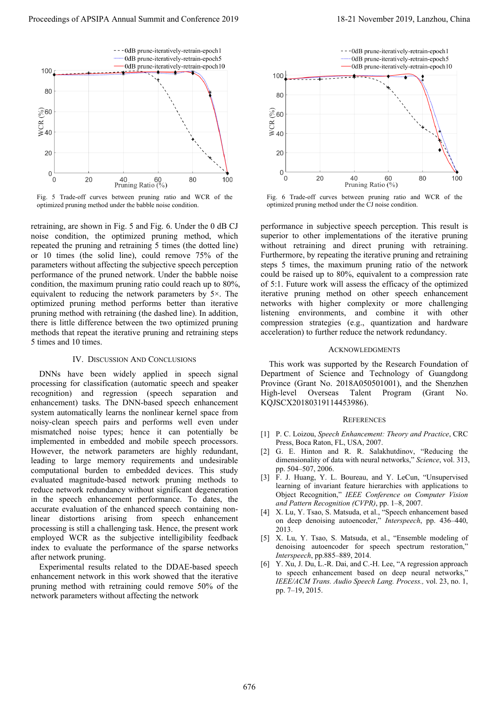

Fig. 5 Trade-off curves between pruning ratio and WCR of the optimized pruning method under the babble noise condition.

retraining, are shown in Fig. 5 and Fig. 6. Under the 0 dB CJ noise condition, the optimized pruning method, which repeated the pruning and retraining 5 times (the dotted line) or 10 times (the solid line), could remove 75% of the parameters without affecting the subjective speech perception performance of the pruned network. Under the babble noise condition, the maximum pruning ratio could reach up to 80%, equivalent to reducing the network parameters by 5×. The optimized pruning method performs better than iterative pruning method with retraining (the dashed line). In addition, there is little difference between the two optimized pruning methods that repeat the iterative pruning and retraining steps 5 times and 10 times.

#### IV. DISCUSSION AND CONCLUSIONS

DNNs have been widely applied in speech signal processing for classification (automatic speech and speaker recognition) and regression (speech separation and enhancement) tasks. The DNN-based speech enhancement system automatically learns the nonlinear kernel space from noisy-clean speech pairs and performs well even under mismatched noise types; hence it can potentially be implemented in embedded and mobile speech processors. However, the network parameters are highly redundant, leading to large memory requirements and undesirable computational burden to embedded devices. This study evaluated magnitude-based network pruning methods to reduce network redundancy without significant degeneration in the speech enhancement performance. To dates, the accurate evaluation of the enhanced speech containing nonlinear distortions arising from speech enhancement processing is still a challenging task. Hence, the present work employed WCR as the subjective intelligibility feedback index to evaluate the performance of the sparse networks after network pruning. Proceeding of APSIPA Annual Summit at Co-form 2019<br>
The conference 2019 is a summit and conference 2019<br>
The conference 2019 is a summit and conference 2019<br>
The conference 2019 is a summit and conference 2019 is a summit

Experimental results related to the DDAE-based speech enhancement network in this work showed that the iterative pruning method with retraining could remove 50% of the network parameters without affecting the network



Fig. 6 Trade-off curves between pruning ratio and WCR of the optimized pruning method under the CJ noise condition.

performance in subjective speech perception. This result is superior to other implementations of the iterative pruning without retraining and direct pruning with retraining. Furthermore, by repeating the iterative pruning and retraining steps 5 times, the maximum pruning ratio of the network could be raised up to 80%, equivalent to a compression rate of 5:1. Future work will assess the efficacy of the optimized iterative pruning method on other speech enhancement networks with higher complexity or more challenging listening environments, and combine it with other compression strategies (e.g., quantization and hardware acceleration) to further reduce the network redundancy.

#### ACKNOWLEDGMENTS

This work was supported by the Research Foundation of Department of Science and Technology of Guangdong Province (Grant No. 2018A050501001), and the Shenzhen High-level Overseas Talent Program (Grant No. KQJSCX20180319114453986).

#### **REFERENCES**

- [1] P. C. Loizou, *Speech Enhancement: Theory and Practice*, CRC Press, Boca Raton, FL, USA, 2007.
- [2] G. E. Hinton and R. R. Salakhutdinov, "Reducing the dimensionality of data with neural networks," *Science*, vol. 313, pp. 504–507, 2006.
- [3] F. J. Huang, Y. L. Boureau, and Y. LeCun, "Unsupervised learning of invariant feature hierarchies with applications to Object Recognition," *IEEE Conference on Computer Vision and Pattern Recognition (CVPR)*, pp. 1–8, 2007.
- [4] X. Lu, Y. Tsao, S. Matsuda, et al., "Speech enhancement based on deep denoising autoencoder," *Interspeech*, pp. 436–440, 2013.
- [5] X. Lu, Y. Tsao, S. Matsuda, et al., "Ensemble modeling of denoising autoencoder for speech spectrum restoration," *Interspeech*, pp.885–889, 2014.
- [6] Y. Xu, J. Du, L.-R. Dai, and C.-H. Lee, "A regression approach to speech enhancement based on deep neural networks," *IEEE/ACM Trans. Audio Speech Lang. Process.,* vol. 23, no. 1, pp. 7–19, 2015.